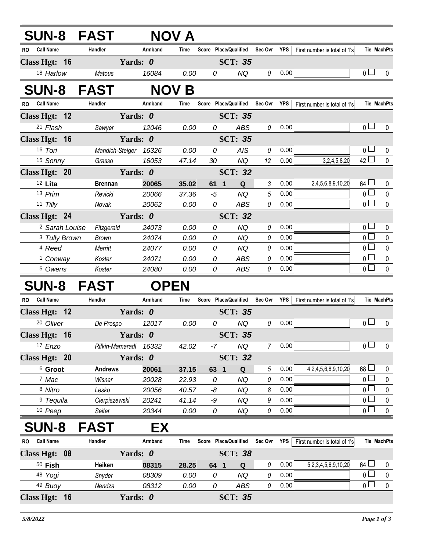|           |                           | <b>SUN-8 FAST</b>     |             | <b>NOV A</b> |      |                       |             |            |                              |                |                    |
|-----------|---------------------------|-----------------------|-------------|--------------|------|-----------------------|-------------|------------|------------------------------|----------------|--------------------|
| RO.       | <b>Call Name</b>          | Handler               | Armband     | Time         |      | Score Place/Qualified | Sec Ovr     | YPS        | First number is total of 1's |                | Tie MachPts        |
|           | Class Hgt: 16             |                       | Yards: 0    |              |      | <b>SCT: 35</b>        |             |            |                              |                |                    |
|           | 18 Harlow                 | Matous                | 16084       | 0.00         | 0    | <b>NQ</b>             | 0           | 0.00       |                              | 0 <sub>0</sub> | $\mathbf{0}$       |
|           |                           | <b>SUN-8 FAST</b>     |             | <b>NOV B</b> |      |                       |             |            |                              |                |                    |
|           | RO Call Name              | Handler               | Armband     | <b>Time</b>  |      | Score Place/Qualified | Sec Ovr YPS |            | First number is total of 1's |                | Tie MachPts        |
|           | Class Hgt: 12             |                       | Yards: 0    |              |      | <b>SCT: 35</b>        |             |            |                              |                |                    |
|           | 21 Flash                  | Sawyer                | 12046       | 0.00         | 0    | <b>ABS</b>            | 0           | 0.00       |                              | 0 <sub>l</sub> | $\mathbf 0$        |
|           | Class Hgt: 16             |                       | Yards: 0    |              |      | <b>SCT: 35</b>        |             |            |                              |                |                    |
|           | 16 Tori                   | Mandich-Steiger 16326 |             | 0.00         | 0    | AIS                   | 0           | 0.00       |                              | $\overline{0}$ | 0                  |
|           | 15 Sonny                  | Grasso                | 16053       | 47.14        | 30   | <b>NQ</b>             | 12          | 0.00       | 3,2,4,5,8,20                 | $42\Box$       | $\mathbf{0}$       |
|           | Class Hgt: 20             |                       | Yards: 0    |              |      | <b>SCT: 32</b>        |             |            |                              |                |                    |
|           | 12 Lita                   | <b>Brennan</b>        | 20065       | 35.02        | 61 1 | Q                     | 3           | 0.00       | 2,4,5,6,8,9,10,20            | $64 \Box$      | 0                  |
|           | 13 Prim                   | Revicki               | 20066       | 37.36        | -5   | <b>NQ</b>             | 5           | 0.00       |                              | $\overline{0}$ | 0                  |
|           | 11 Tilly                  | Novak                 | 20062       | 0.00         | 0    | <b>ABS</b>            | 0           | 0.00       |                              | $\overline{0}$ | $\mathbf 0$        |
|           | Class Hgt: 24             |                       | Yards: 0    |              |      | <b>SCT: 32</b>        |             |            |                              |                |                    |
|           | <sup>2</sup> Sarah Louise | Fitzgerald            | 24073       | 0.00         | 0    | <b>NQ</b>             | 0           | 0.00       |                              | $\overline{0}$ | 0                  |
|           | <sup>3</sup> Tully Brown  | <b>Brown</b>          | 24074       | 0.00         | 0    | NQ                    | 0           | 0.00       |                              | $\overline{0}$ | $\pmb{0}$          |
|           | <sup>4</sup> Reed         | Merritt               | 24077       | 0.00         | 0    | <b>NQ</b>             | 0           | 0.00       |                              | 0 <sub>1</sub> | $\pmb{0}$          |
|           | <sup>1</sup> Conway       | Koster                | 24071       | 0.00         | 0    | <b>ABS</b>            | 0           | 0.00       |                              | $\overline{0}$ | $\pmb{0}$          |
|           | <sup>5</sup> Owens        | Koster                | 24080       | 0.00         | 0    | <b>ABS</b>            | 0           | 0.00       |                              | $\overline{0}$ | $\mathbf 0$        |
|           |                           | <b>SUN-8 FAST</b>     | <b>OPEN</b> |              |      |                       |             |            |                              |                |                    |
| <b>RO</b> | <b>Call Name</b>          | Handler               | Armband     | Time         |      | Score Place/Qualified | Sec Ovr     | <b>YPS</b> | First number is total of 1's |                | <b>Tie MachPts</b> |
|           | Class Hgt: 12             |                       | Yards: 0    |              |      | <b>SCT: 35</b>        |             |            |                              |                |                    |
|           | 20 Oliver                 | De Prospo             | 12017       | 0.00         | 0    | <b>NQ</b>             | 0           | 0.00       |                              | 0 <sub>0</sub> | $\mathbf{0}$       |
|           | Class Hgt: 16             |                       | Yards: 0    |              |      | <b>SCT: 35</b>        |             |            |                              |                |                    |
|           | 17 Enzo                   | Rifkin-Mamaradl       | 16332       | 42.02        | -7   | NQ                    | 7           | 0.00       |                              | $\overline{0}$ | 0                  |
|           | Class Hgt: 20             |                       | Yards: 0    |              |      | <b>SCT: 32</b>        |             |            |                              |                |                    |
|           | <sup>6</sup> Groot        | <b>Andrews</b>        | 20061       | 37.15        | 63   | $\mathbf{1}$<br>Q     | 5           | 0.00       | 4,2,4,5,6,8,9,10,20          | $68\Box$       | 0                  |
|           | 7 Mac                     | Wisner                | 20028       | 22.93        | 0    | NQ                    | 0           | 0.00       |                              | $\overline{0}$ | $\pmb{0}$          |
|           | 8 Nitro                   | Lesko                 | 20056       | 40.57        | -8   | NQ                    | 8           | 0.00       |                              | $0\perp$       | 0                  |
|           | <sup>9</sup> Tequila      | Cierpiszewski         | 20241       | 41.14        | -9   | NQ                    | 9           | 0.00       |                              | 0 <sub>0</sub> | $\pmb{0}$          |
|           | 10 Peep                   | Seiter                | 20344       | 0.00         | 0    | NQ                    | 0           | 0.00       |                              | $0\perp$       | $\pmb{0}$          |
|           | <b>SUN-8</b>              | <b>FAST</b>           | EХ          |              |      |                       |             |            |                              |                |                    |
| RO        | <b>Call Name</b>          | Handler               | Armband     | Time         |      | Score Place/Qualified | Sec Ovr YPS |            | First number is total of 1's |                | Tie MachPts        |
|           | Class Hgt: 08             |                       | Yards: 0    |              |      | <b>SCT: 38</b>        |             |            |                              |                |                    |
|           | $50$ Fish                 | Heiken                | 08315       | 28.25        | 64 1 | Q                     | 0           | 0.00       | 5,2,3,4,5,6,9,10,20          | 64 $\Box$      | 0                  |
|           | 48 Yogi                   | Snyder                | 08309       | 0.00         | 0    | NQ                    | 0           | 0.00       |                              | 0 <sup>2</sup> | 0                  |
|           | 49 Buoy                   | Nendza                | 08312       | 0.00         | 0    | ABS                   | 0           | 0.00       |                              | $\overline{0}$ | $\pmb{0}$          |
|           | Class Hgt: 16             |                       | Yards: 0    |              |      | <b>SCT: 35</b>        |             |            |                              |                |                    |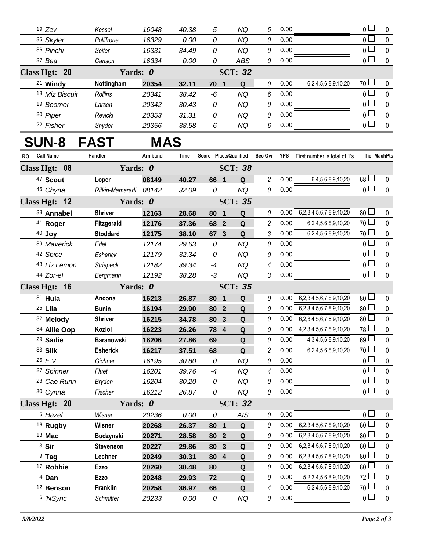| $19$ Zev                  | Kessel     | 16048 | 40.38          | -5   | ΝQ  | 5 | 0.00 |                     | $_0$ $\Box$                   |          |
|---------------------------|------------|-------|----------------|------|-----|---|------|---------------------|-------------------------------|----------|
| 35 Skyler                 | Pollifrone | 16329 | 0.00           | 0    | ΝQ  | 0 | 0.00 |                     | $0 -$                         | $\Omega$ |
| 36 Pinchi                 | Seiter     | 16331 | 34.49          | 0    | NQ  | 0 | 0.00 |                     | 0 <sup>1</sup>                |          |
| 37 Bea                    | Carlson    | 16334 | 0.00           | 0    | ABS | 0 | 0.00 |                     | $0 -$                         | $\Omega$ |
| Class Hgt: 20             | Yards: 0   |       | <b>SCT: 32</b> |      |     |   |      |                     |                               |          |
| <sup>21</sup> Windy       | Nottingham | 20354 | 32.11          | 70 1 | Q   | 0 | 0.00 | 6,2,4,5,6,8,9,10,20 | $70 \Box$                     | $\Omega$ |
| <sup>18</sup> Miz Biscuit | Rollins    | 20341 | 38.42          | -6   | NQ  | 6 | 0.00 |                     | $\overline{0}$                |          |
| <sup>19</sup> Boomer      | Larsen     | 20342 | 30.43          | 0    | ΝQ  | 0 | 0.00 |                     | $\overline{0}$ $\overline{1}$ | $\Omega$ |
| 20 Piper                  | Revicki    | 20353 | 31.31          | 0    | ΝQ  | 0 | 0.00 |                     | $\overline{0}$ $\overline{1}$ | $\Omega$ |
| 22 Fisher                 | Snyder     | 20356 | 38.58          | -6   | ΝQ  | 6 | 0.00 |                     | 0 <sub>1</sub>                | $\Omega$ |

## **SUN-8 FAST MAS**

| <b>RO</b> | <b>Call Name</b>       | Handler           | Armband | Time  |            |                | Score Place/Qualified Sec Ovr YPS |                |      | First number is total of 1's      |                 | <b>Tie MachPts</b> |
|-----------|------------------------|-------------------|---------|-------|------------|----------------|-----------------------------------|----------------|------|-----------------------------------|-----------------|--------------------|
|           | Class Hgt: 08          | Yards: 0          |         |       |            |                | <b>SCT: 38</b>                    |                |      |                                   |                 |                    |
|           | <sup>47</sup> Scout    | Loper             | 08149   | 40.27 | 66 1       |                | Q                                 | $\overline{c}$ | 0.00 | 6,4,5,6,8,9,10,20                 | $68$ $\Box$     | 0                  |
|           | 46 Chyna               | Rifkin-Mamaradl   | 08142   | 32.09 | 0          |                | <b>NQ</b>                         | 0              | 0.00 |                                   | $\overline{0}$  | $\mathbf 0$        |
|           | Class Hgt: 12          | Yards: 0          |         |       |            |                | <b>SCT: 35</b>                    |                |      |                                   |                 |                    |
|           | 38 Annabel             | <b>Shriver</b>    | 12163   | 28.68 | 80 1       |                | Q                                 | 0              | 0.00 | 6,2,3,4,5,6,7,8,9,10,20           | 80 <sup>1</sup> | 0                  |
|           | <sup>41</sup> Roger    | Fitzgerald        | 12176   | 37.36 | 68 2       |                | $\mathbf Q$                       | 2              | 0.00 | 6,2,4,5,6,8,9,10,20               | $70$ $\Box$     | 0                  |
|           | 40 Joy                 | <b>Stoddard</b>   | 12175   | 38.10 | 67 3       |                | Q                                 | 3              | 0.00 | 6,2,4,5,6,8,9,10,20               | 70 L            | $\mathbf 0$        |
|           | 39 Maverick            | Edel              | 12174   | 29.63 | 0          |                | <b>NQ</b>                         | 0              | 0.00 |                                   | $\overline{0}$  | $\mathbf 0$        |
|           | 42 Spice               | Esherick          | 12179   | 32.34 | 0          |                | <b>NQ</b>                         | 0              | 0.00 |                                   | $\overline{0}$  | $\pmb{0}$          |
|           | 43 Liz Lemon           | Striepeck         | 12182   | 39.34 | -4         |                | <b>NQ</b>                         | 4              | 0.00 |                                   | $\overline{0}$  | $\pmb{0}$          |
|           | 44 Zor-el              | Bergmann          | 12192   | 38.28 | $-3$       |                | <b>NQ</b>                         | 3              | 0.00 |                                   | $_0$ $\Box$     | $\mathbf 0$        |
|           | Class Hgt: 16          | Yards: 0          |         |       |            |                | <b>SCT: 35</b>                    |                |      |                                   |                 |                    |
|           | 31 Hula                | Ancona            | 16213   | 26.87 | 80         | $\blacksquare$ | Q                                 | 0              | 0.00 | 6,2,3,4,5,6,7,8,9,10,20           | 80 <sup>1</sup> | 0                  |
|           | 25 Lila                | <b>Bunin</b>      | 16194   | 29.90 | 80 2       |                | Q                                 | 0              | 0.00 | 6,2,3,4,5,6,7,8,9,10,20           | 80 <sup>1</sup> | $\pmb{0}$          |
|           | 32 Melody              | <b>Shriver</b>    | 16215   | 34.78 | 80 3       |                | Q                                 | 0              | 0.00 | 6,2,3,4,5,6,7,8,9,10,20           | 80 <sup>1</sup> | $\pmb{0}$          |
|           | 34 Allie Oop           | Koziol            | 16223   | 26.26 | 78 4       |                | Q                                 | 0              | 0.00 | 4, 2, 3, 4, 5, 6, 7, 8, 9, 10, 20 | $78 \Box$       | $\pmb{0}$          |
|           | 29 Sadie               | <b>Baranowski</b> | 16206   | 27.86 | 69         |                | $\mathbf Q$                       | 0              | 0.00 | 4, 3, 4, 5, 6, 8, 9, 10, 20       | 69              | $\pmb{0}$          |
|           | 33 Silk                | <b>Esherick</b>   | 16217   | 37.51 | 68         |                | Q                                 | $\overline{c}$ | 0.00 | 6,2,4,5,6,8,9,10,20               | 70 <sub>1</sub> | $\pmb{0}$          |
|           | 26 E.V.                | Gichner           | 16195   | 30.80 | 0          |                | <b>NQ</b>                         | 0              | 0.00 |                                   | $\overline{0}$  | $\pmb{0}$          |
|           | 27 Spinner             | Fluet             | 16201   | 39.76 | $-4$       |                | <b>NQ</b>                         | 4              | 0.00 |                                   | $_0$ $\Box$     | $\pmb{0}$          |
|           | <sup>28</sup> Cao Runn | <b>Bryden</b>     | 16204   | 30.20 | ${\cal O}$ |                | <b>NQ</b>                         | 0              | 0.00 |                                   | $\overline{0}$  | $\pmb{0}$          |
|           | 30 Cynna               | Fischer           | 16212   | 26.87 | 0          |                | <b>NQ</b>                         | 0              | 0.00 |                                   | $\overline{0}$  | $\mathbf 0$        |
|           | Class Hgt: 20          | Yards: 0          |         |       |            |                | <b>SCT: 32</b>                    |                |      |                                   |                 |                    |
|           | <sup>5</sup> Hazel     | Wisner            | 20236   | 0.00  | 0          |                | <b>AIS</b>                        | 0              | 0.00 |                                   | $\overline{0}$  | 0                  |
|           | <sup>16</sup> Rugby    | Wisner            | 20268   | 26.37 | 80 1       |                | $\mathbf Q$                       | $\theta$       | 0.00 | 6,2,3,4,5,6,7,8,9,10,20           | 80 <sup>1</sup> | $\pmb{0}$          |
|           | 13 Mac                 | <b>Budzynski</b>  | 20271   | 28.58 | 80 2       |                | Q                                 | 0              | 0.00 | 6,2,3,4,5,6,7,8,9,10,20           | 80 <sup>1</sup> | $\pmb{0}$          |
|           | <sup>3</sup> Sir       | <b>Stevenson</b>  | 20227   | 29.86 | 80 3       |                | Q                                 | 0              | 0.00 | 6,2,3,4,5,6,7,8,9,10,20           | 80              | $\pmb{0}$          |
|           | $9$ Tag                | Lechner           | 20249   | 30.31 | 80 4       |                | Q                                 | 0              | 0.00 | 6,2,3,4,5,6,7,8,9,10,20           | 80 <sup>1</sup> | $\pmb{0}$          |
|           | <sup>17</sup> Robbie   | <b>Ezzo</b>       | 20260   | 30.48 | 80         |                | $\mathbf Q$                       | 0              | 0.00 | 6,2,3,4,5,6,7,8,9,10,20           | 80              | $\pmb{0}$          |
|           | <sup>4</sup> Dan       | Ezzo              | 20248   | 29.93 | 72         |                | Q                                 | $\theta$       | 0.00 | 5,2,3,4,5,6,8,9,10,20             | $72 \Box$       | 0                  |
|           | 12 Benson              | Franklin          | 20258   | 36.97 | 66         |                | $\mathbf Q$                       | $\overline{4}$ | 0.00 | 6,2,4,5,6,8,9,10,20               | 70 L            | $\pmb{0}$          |
|           | 6 'NSync               | <b>Schmitter</b>  | 20233   | 0.00  | ${\cal O}$ |                | <b>NQ</b>                         | 0              | 0.00 |                                   | $\overline{0}$  | $\mathbf 0$        |